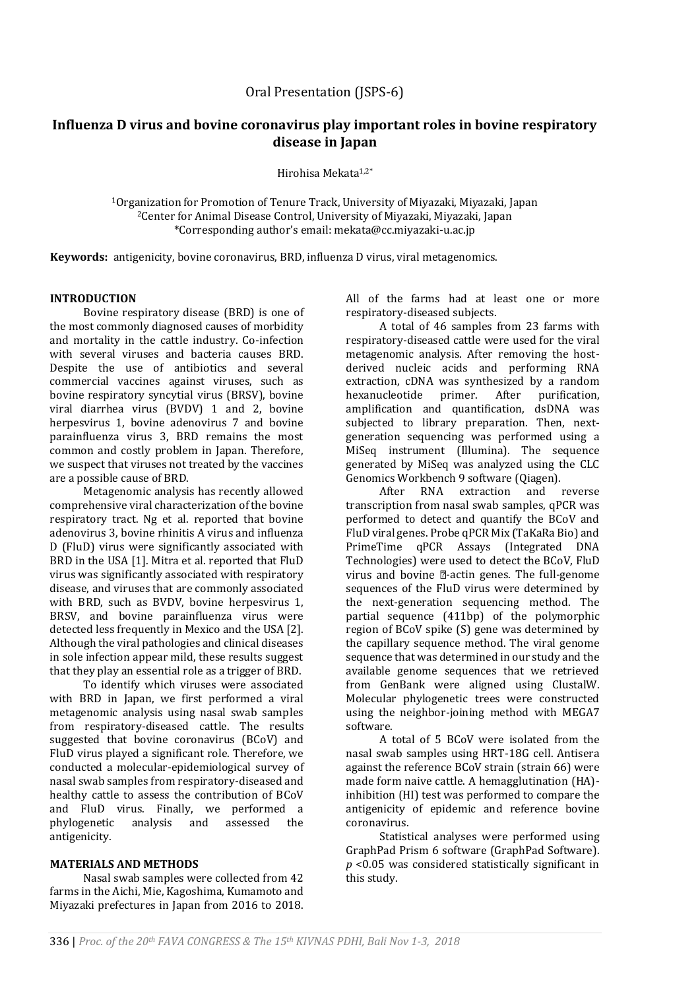# **Influenza D virus and bovine coronavirus play important roles in bovine respiratory disease in Japan**

Hirohisa Mekata1,2\*

<sup>1</sup>Organization for Promotion of Tenure Track, University of Miyazaki, Miyazaki, Japan <sup>2</sup>Center for Animal Disease Control, University of Miyazaki, Miyazaki, Japan \*Corresponding author's email: mekata@cc.miyazaki-u.ac.jp

**Keywords:** antigenicity, bovine coronavirus, BRD, influenza D virus, viral metagenomics.

# **INTRODUCTION**

Bovine respiratory disease (BRD) is one of the most commonly diagnosed causes of morbidity and mortality in the cattle industry. Co-infection with several viruses and bacteria causes BRD. Despite the use of antibiotics and several commercial vaccines against viruses, such as bovine respiratory syncytial virus (BRSV), bovine viral diarrhea virus (BVDV) 1 and 2, bovine herpesvirus 1, bovine adenovirus 7 and bovine parainfluenza virus 3, BRD remains the most common and costly problem in Japan. Therefore, we suspect that viruses not treated by the vaccines are a possible cause of BRD.

Metagenomic analysis has recently allowed comprehensive viral characterization of the bovine respiratory tract. Ng et al. reported that bovine adenovirus 3, bovine rhinitis A virus and influenza D (FluD) virus were significantly associated with BRD in the USA [1]. Mitra et al. reported that FluD virus was significantly associated with respiratory disease, and viruses that are commonly associated with BRD, such as BVDV, bovine herpesvirus 1, BRSV, and bovine parainfluenza virus were detected less frequently in Mexico and the USA [2]. Although the viral pathologies and clinical diseases in sole infection appear mild, these results suggest that they play an essential role as a trigger of BRD.

To identify which viruses were associated with BRD in Japan, we first performed a viral metagenomic analysis using nasal swab samples from respiratory-diseased cattle. The results suggested that bovine coronavirus (BCoV) and FluD virus played a significant role. Therefore, we conducted a molecular-epidemiological survey of nasal swab samples from respiratory-diseased and healthy cattle to assess the contribution of BCoV and FluD virus. Finally, we performed a phylogenetic analysis and assessed the antigenicity.

### **MATERIALS AND METHODS**

Nasal swab samples were collected from 42 farms in the Aichi, Mie, Kagoshima, Kumamoto and Miyazaki prefectures in Japan from 2016 to 2018. All of the farms had at least one or more respiratory-diseased subjects.

A total of 46 samples from 23 farms with respiratory-diseased cattle were used for the viral metagenomic analysis. After removing the hostderived nucleic acids and performing RNA extraction, cDNA was synthesized by a random hexanucleotide primer. After purification, amplification and quantification, dsDNA was subjected to library preparation. Then, nextgeneration sequencing was performed using a MiSeq instrument (Illumina). The sequence generated by MiSeq was analyzed using the CLC Genomics Workbench 9 software (Qiagen).

After RNA extraction and reverse transcription from nasal swab samples, qPCR was performed to detect and quantify the BCoV and FluD viral genes. Probe qPCR Mix (TaKaRa Bio) and PrimeTime qPCR Assays (Integrated DNA Technologies) were used to detect the BCoV, FluD virus and bovine  $\mathbb{Z}$ -actin genes. The full-genome sequences of the FluD virus were determined by the next-generation sequencing method. The partial sequence (411bp) of the polymorphic region of BCoV spike (S) gene was determined by the capillary sequence method. The viral genome sequence that was determined in our study and the available genome sequences that we retrieved from GenBank were aligned using ClustalW. Molecular phylogenetic trees were constructed using the neighbor-joining method with MEGA7 software.

A total of 5 BCoV were isolated from the nasal swab samples using HRT-18G cell. Antisera against the reference BCoV strain (strain 66) were made form naive cattle. A hemagglutination (HA) inhibition (HI) test was performed to compare the antigenicity of epidemic and reference bovine coronavirus.

Statistical analyses were performed using GraphPad Prism 6 software (GraphPad Software). *p* <0.05 was considered statistically significant in this study.